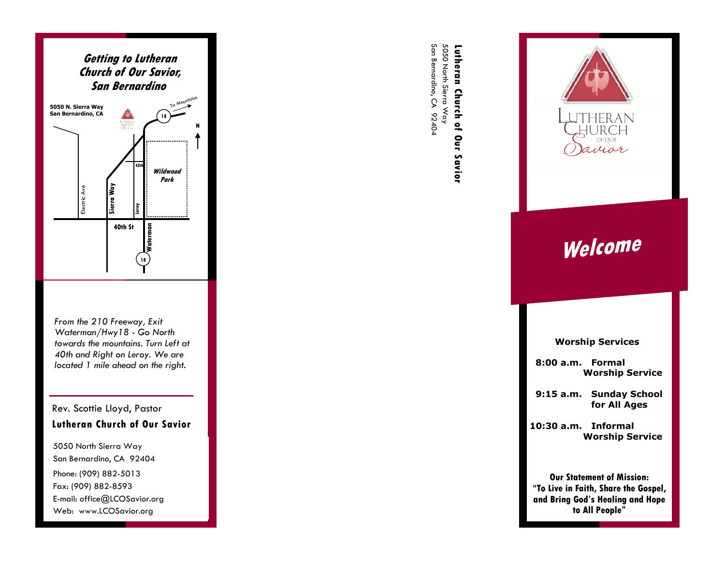

*From the 210 Freeway, Exit Waterman/Hwy18 - Go North towards the mountains. Turn Left at 40th and Right on Leroy. We are located 1 mile ahead on the right.* 

# Rev. Scottie Lloyd, Pastor **Lutheran Church of Our Savior**

5050 North Sierra Way San Bernardino, CA 92404 Phone: (909) 882-5013 Fax: (909) 882-8593 E-mail: office@LCOSavior.org Web: www.LCOSavior.org

San Bernardino, CA 92404 San Bernardino, CA 92404 5050 North Sierra Way 5050 North Sierra Way Lutheran Church of Our Savior **Lutheran Church of Our Savior** 



OF OUR imar

**Worship Services** 

 **8:00 a.m. Formal Worship Service**

 **9:15 a.m. Sunday School for All Ages** 

**10:30 a.m. Informal Worship Service** 

**Our Statement of Mission: "To Live in Faith, Share the Gospel, and Bring God's Healing and Hope to All People"**